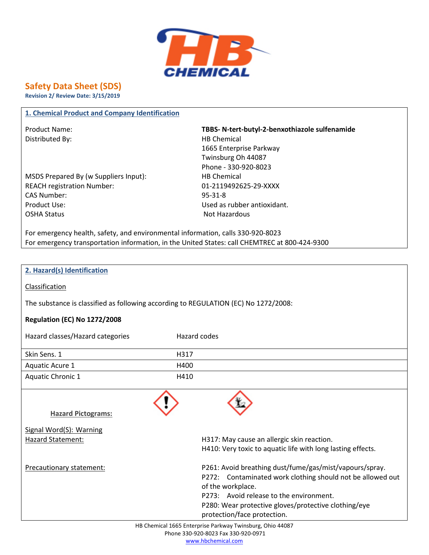

# **Safety Data Sheet (SDS)**

**Revision 2/ Review Date: 3/15/2019**

### **1. Chemical Product and Company Identification**

Distributed By: Notice and Security and Security HB Chemical

MSDS Prepared By (w Suppliers Input): HB Chemical REACH registration Number: 01-2119492625-29-XXXX CAS Number: 95-31-8 Product Use: Used as rubber antioxidant. OSHA Status Not Hazardous

Product Name: **TBBS- N-tert-butyl-2-benxothiazole sulfenamide** 1665 Enterprise Parkway Twinsburg Oh 44087 Phone - 330-920-8023

For emergency health, safety, and environmental information, calls 330-920-8023 For emergency transportation information, in the United States: call CHEMTREC at 800-424-9300

# **2. Hazard(s) Identification**

Classification

The substance is classified as following according to REGULATION (EC) No 1272/2008:

#### **Regulation (EC) No 1272/2008**

| Hazard classes/Hazard categories                                                                 | Hazard codes                                                                                                                                                                                                                                                                 |  |
|--------------------------------------------------------------------------------------------------|------------------------------------------------------------------------------------------------------------------------------------------------------------------------------------------------------------------------------------------------------------------------------|--|
| Skin Sens. 1                                                                                     | H317                                                                                                                                                                                                                                                                         |  |
| Aquatic Acure 1                                                                                  | H400                                                                                                                                                                                                                                                                         |  |
| <b>Aquatic Chronic 1</b>                                                                         | H410                                                                                                                                                                                                                                                                         |  |
| <b>Hazard Pictograms:</b>                                                                        |                                                                                                                                                                                                                                                                              |  |
| Signal Word(S): Warning<br>Hazard Statement:                                                     | H317: May cause an allergic skin reaction.<br>H410: Very toxic to aquatic life with long lasting effects.                                                                                                                                                                    |  |
| Precautionary statement:                                                                         | P261: Avoid breathing dust/fume/gas/mist/vapours/spray.<br>P272: Contaminated work clothing should not be allowed out<br>of the workplace.<br>P273: Avoid release to the environment.<br>P280: Wear protective gloves/protective clothing/eye<br>protection/face protection. |  |
| HB Chemical 1665 Enterprise Parkway Twinsburg, Ohio 44087<br>Phone 330-920-8023 Fax 330-920-0971 |                                                                                                                                                                                                                                                                              |  |

www.hbchemical.com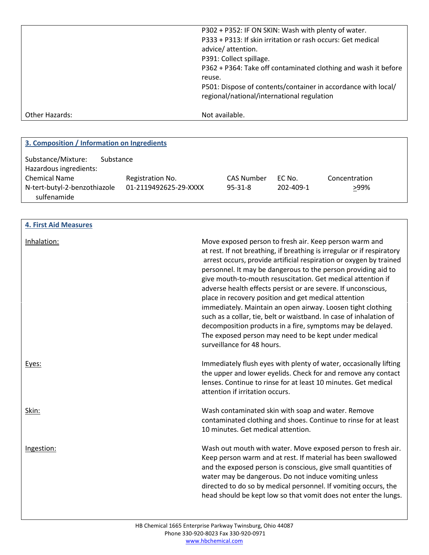|                | P302 + P352: IF ON SKIN: Wash with plenty of water.<br>P333 + P313: If skin irritation or rash occurs: Get medical<br>advice/ attention.<br>P391: Collect spillage.<br>P362 + P364: Take off contaminated clothing and wash it before<br>reuse.<br>P501: Dispose of contents/container in accordance with local/<br>regional/national/international regulation |
|----------------|----------------------------------------------------------------------------------------------------------------------------------------------------------------------------------------------------------------------------------------------------------------------------------------------------------------------------------------------------------------|
| Other Hazards: | Not available.                                                                                                                                                                                                                                                                                                                                                 |

| Substance/Mixture:<br>Substance<br>Hazardous ingredients: |                       |                   |           |               |
|-----------------------------------------------------------|-----------------------|-------------------|-----------|---------------|
| <b>Chemical Name</b>                                      | Registration No.      | <b>CAS Number</b> | EC No.    | Concentration |
| N-tert-butyl-2-benzothiazole                              | 01-2119492625-29-XXXX | $95 - 31 - 8$     | 202-409-1 | >99%          |
| sulfenamide                                               |                       |                   |           |               |

| <b>4. First Aid Measures</b> |                                                                                                                                                                                                                                                                                                                                                                                                                                                                                                                                                                                                                                                                                                                                                          |
|------------------------------|----------------------------------------------------------------------------------------------------------------------------------------------------------------------------------------------------------------------------------------------------------------------------------------------------------------------------------------------------------------------------------------------------------------------------------------------------------------------------------------------------------------------------------------------------------------------------------------------------------------------------------------------------------------------------------------------------------------------------------------------------------|
| Inhalation:                  | Move exposed person to fresh air. Keep person warm and<br>at rest. If not breathing, if breathing is irregular or if respiratory<br>arrest occurs, provide artificial respiration or oxygen by trained<br>personnel. It may be dangerous to the person providing aid to<br>give mouth-to-mouth resuscitation. Get medical attention if<br>adverse health effects persist or are severe. If unconscious,<br>place in recovery position and get medical attention<br>immediately. Maintain an open airway. Loosen tight clothing<br>such as a collar, tie, belt or waistband. In case of inhalation of<br>decomposition products in a fire, symptoms may be delayed.<br>The exposed person may need to be kept under medical<br>surveillance for 48 hours. |
| Eyes:                        | Immediately flush eyes with plenty of water, occasionally lifting<br>the upper and lower eyelids. Check for and remove any contact<br>lenses. Continue to rinse for at least 10 minutes. Get medical<br>attention if irritation occurs.                                                                                                                                                                                                                                                                                                                                                                                                                                                                                                                  |
| Skin:                        | Wash contaminated skin with soap and water. Remove<br>contaminated clothing and shoes. Continue to rinse for at least<br>10 minutes. Get medical attention.                                                                                                                                                                                                                                                                                                                                                                                                                                                                                                                                                                                              |
| Ingestion:                   | Wash out mouth with water. Move exposed person to fresh air.<br>Keep person warm and at rest. If material has been swallowed<br>and the exposed person is conscious, give small quantities of<br>water may be dangerous. Do not induce vomiting unless<br>directed to do so by medical personnel. If vomiting occurs, the<br>head should be kept low so that vomit does not enter the lungs.                                                                                                                                                                                                                                                                                                                                                             |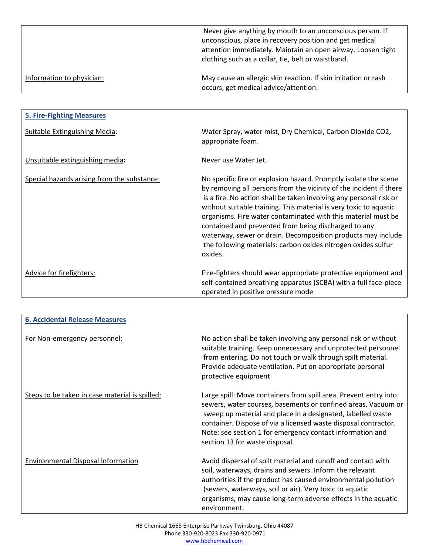|                           | Never give anything by mouth to an unconscious person. If<br>unconscious, place in recovery position and get medical<br>attention immediately. Maintain an open airway. Loosen tight<br>clothing such as a collar, tie, belt or waistband. |
|---------------------------|--------------------------------------------------------------------------------------------------------------------------------------------------------------------------------------------------------------------------------------------|
| Information to physician: | May cause an allergic skin reaction. If skin irritation or rash<br>occurs, get medical advice/attention.                                                                                                                                   |

| <b>5. Fire-Fighting Measures</b>            |                                                                                                                                                                                                                                                                                                                                                                                                                                                                                                                                                        |
|---------------------------------------------|--------------------------------------------------------------------------------------------------------------------------------------------------------------------------------------------------------------------------------------------------------------------------------------------------------------------------------------------------------------------------------------------------------------------------------------------------------------------------------------------------------------------------------------------------------|
| Suitable Extinguishing Media:               | Water Spray, water mist, Dry Chemical, Carbon Dioxide CO2,<br>appropriate foam.                                                                                                                                                                                                                                                                                                                                                                                                                                                                        |
| Unsuitable extinguishing media:             | Never use Water Jet.                                                                                                                                                                                                                                                                                                                                                                                                                                                                                                                                   |
| Special hazards arising from the substance: | No specific fire or explosion hazard. Promptly isolate the scene<br>by removing all persons from the vicinity of the incident if there<br>is a fire. No action shall be taken involving any personal risk or<br>without suitable training. This material is very toxic to aquatic<br>organisms. Fire water contaminated with this material must be<br>contained and prevented from being discharged to any<br>waterway, sewer or drain. Decomposition products may include<br>the following materials: carbon oxides nitrogen oxides sulfur<br>oxides. |
| Advice for firefighters:                    | Fire-fighters should wear appropriate protective equipment and<br>self-contained breathing apparatus (SCBA) with a full face-piece<br>operated in positive pressure mode                                                                                                                                                                                                                                                                                                                                                                               |

| <b>6. Accidental Release Measures</b>          |                                                                                                                                                                                                                                                                                                                                                                    |
|------------------------------------------------|--------------------------------------------------------------------------------------------------------------------------------------------------------------------------------------------------------------------------------------------------------------------------------------------------------------------------------------------------------------------|
| For Non-emergency personnel:                   | No action shall be taken involving any personal risk or without<br>suitable training. Keep unnecessary and unprotected personnel<br>from entering. Do not touch or walk through spilt material.<br>Provide adequate ventilation. Put on appropriate personal<br>protective equipment                                                                               |
| Steps to be taken in case material is spilled: | Large spill: Move containers from spill area. Prevent entry into<br>sewers, water courses, basements or confined areas. Vacuum or<br>sweep up material and place in a designated, labelled waste<br>container. Dispose of via a licensed waste disposal contractor.<br>Note: see section 1 for emergency contact information and<br>section 13 for waste disposal. |
| Environmental Disposal Information             | Avoid dispersal of spilt material and runoff and contact with<br>soil, waterways, drains and sewers. Inform the relevant<br>authorities if the product has caused environmental pollution<br>(sewers, waterways, soil or air). Very toxic to aquatic<br>organisms, may cause long-term adverse effects in the aquatic<br>environment.                              |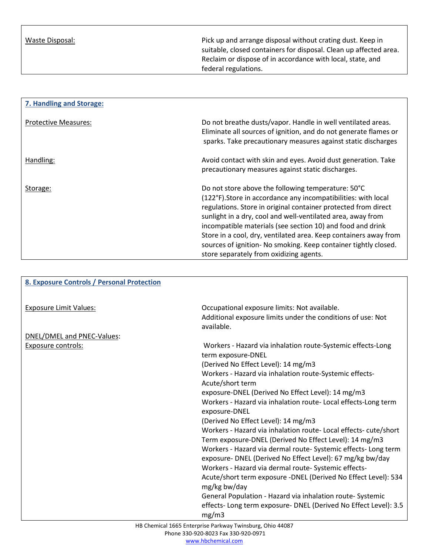| Waste Disposal: | Pick up and arrange disposal without crating dust. Keep in        |
|-----------------|-------------------------------------------------------------------|
|                 | suitable, closed containers for disposal. Clean up affected area. |
|                 | Reclaim or dispose of in accordance with local, state, and        |
|                 | federal regulations.                                              |
|                 |                                                                   |

 $\Gamma$ 

| 7. Handling and Storage:    |                                                                                                                                                                                                                                                                                                                                                                                                                                                                                                       |
|-----------------------------|-------------------------------------------------------------------------------------------------------------------------------------------------------------------------------------------------------------------------------------------------------------------------------------------------------------------------------------------------------------------------------------------------------------------------------------------------------------------------------------------------------|
| <b>Protective Measures:</b> | Do not breathe dusts/vapor. Handle in well ventilated areas.<br>Eliminate all sources of ignition, and do not generate flames or<br>sparks. Take precautionary measures against static discharges                                                                                                                                                                                                                                                                                                     |
| Handling:                   | Avoid contact with skin and eyes. Avoid dust generation. Take<br>precautionary measures against static discharges.                                                                                                                                                                                                                                                                                                                                                                                    |
| Storage:                    | Do not store above the following temperature: 50°C<br>(122°F). Store in accordance any incompatibilities: with local<br>regulations. Store in original container protected from direct<br>sunlight in a dry, cool and well-ventilated area, away from<br>incompatible materials (see section 10) and food and drink<br>Store in a cool, dry, ventilated area. Keep containers away from<br>sources of ignition- No smoking. Keep container tightly closed.<br>store separately from oxidizing agents. |

| 8. Exposure Controls / Personal Protection |                                                                                   |
|--------------------------------------------|-----------------------------------------------------------------------------------|
| <b>Exposure Limit Values:</b>              | Occupational exposure limits: Not available.                                      |
|                                            | Additional exposure limits under the conditions of use: Not<br>available.         |
| DNEL/DMEL and PNEC-Values:                 |                                                                                   |
| Exposure controls:                         | Workers - Hazard via inhalation route-Systemic effects-Long<br>term exposure-DNEL |
|                                            | (Derived No Effect Level): 14 mg/m3                                               |
|                                            | Workers - Hazard via inhalation route-Systemic effects-                           |
|                                            | Acute/short term                                                                  |
|                                            | exposure-DNEL (Derived No Effect Level): 14 mg/m3                                 |
|                                            | Workers - Hazard via inhalation route- Local effects-Long term                    |
|                                            | exposure-DNEL                                                                     |
|                                            | (Derived No Effect Level): 14 mg/m3                                               |
|                                            | Workers - Hazard via inhalation route- Local effects- cute/short                  |
|                                            | Term exposure-DNEL (Derived No Effect Level): 14 mg/m3                            |
|                                            | Workers - Hazard via dermal route- Systemic effects- Long term                    |
|                                            | exposure- DNEL (Derived No Effect Level): 67 mg/kg bw/day                         |
|                                            | Workers - Hazard via dermal route- Systemic effects-                              |
|                                            | Acute/short term exposure -DNEL (Derived No Effect Level): 534                    |
|                                            | mg/kg bw/day                                                                      |
|                                            | General Population - Hazard via inhalation route- Systemic                        |
|                                            | effects- Long term exposure- DNEL (Derived No Effect Level): 3.5                  |
|                                            | mg/m3                                                                             |
|                                            | HR Chemical 1665 Enterprise Darkway Twinsburg, Ohio 44087                         |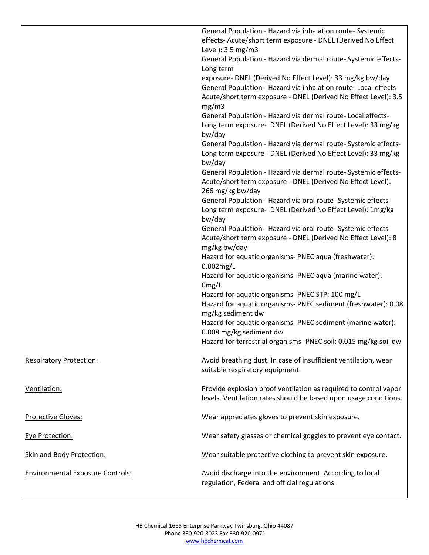|                                         | General Population - Hazard via inhalation route- Systemic<br>effects- Acute/short term exposure - DNEL (Derived No Effect<br>Level): 3.5 mg/m3<br>General Population - Hazard via dermal route- Systemic effects-     |
|-----------------------------------------|------------------------------------------------------------------------------------------------------------------------------------------------------------------------------------------------------------------------|
|                                         | Long term<br>exposure- DNEL (Derived No Effect Level): 33 mg/kg bw/day<br>General Population - Hazard via inhalation route- Local effects-<br>Acute/short term exposure - DNEL (Derived No Effect Level): 3.5<br>mg/m3 |
|                                         | General Population - Hazard via dermal route- Local effects-<br>Long term exposure- DNEL (Derived No Effect Level): 33 mg/kg<br>bw/day                                                                                 |
|                                         | General Population - Hazard via dermal route- Systemic effects-<br>Long term exposure - DNEL (Derived No Effect Level): 33 mg/kg<br>bw/day                                                                             |
|                                         | General Population - Hazard via dermal route- Systemic effects-<br>Acute/short term exposure - DNEL (Derived No Effect Level):<br>266 mg/kg bw/day                                                                     |
|                                         | General Population - Hazard via oral route- Systemic effects-<br>Long term exposure- DNEL (Derived No Effect Level): 1mg/kg<br>bw/day                                                                                  |
|                                         | General Population - Hazard via oral route- Systemic effects-<br>Acute/short term exposure - DNEL (Derived No Effect Level): 8<br>mg/kg bw/day                                                                         |
|                                         | Hazard for aquatic organisms- PNEC aqua (freshwater):<br>$0.002$ mg/L<br>Hazard for aquatic organisms- PNEC aqua (marine water):                                                                                       |
|                                         | 0mg/L<br>Hazard for aquatic organisms- PNEC STP: 100 mg/L<br>Hazard for aquatic organisms- PNEC sediment (freshwater): 0.08                                                                                            |
|                                         | mg/kg sediment dw<br>Hazard for aquatic organisms- PNEC sediment (marine water):<br>0.008 mg/kg sediment dw                                                                                                            |
|                                         | Hazard for terrestrial organisms- PNEC soil: 0.015 mg/kg soil dw                                                                                                                                                       |
| <b>Respiratory Protection:</b>          | Avoid breathing dust. In case of insufficient ventilation, wear<br>suitable respiratory equipment.                                                                                                                     |
| Ventilation:                            | Provide explosion proof ventilation as required to control vapor<br>levels. Ventilation rates should be based upon usage conditions.                                                                                   |
| Protective Gloves:                      | Wear appreciates gloves to prevent skin exposure.                                                                                                                                                                      |
| Eye Protection:                         | Wear safety glasses or chemical goggles to prevent eye contact.                                                                                                                                                        |
| <b>Skin and Body Protection:</b>        | Wear suitable protective clothing to prevent skin exposure.                                                                                                                                                            |
| <b>Environmental Exposure Controls:</b> | Avoid discharge into the environment. According to local<br>regulation, Federal and official regulations.                                                                                                              |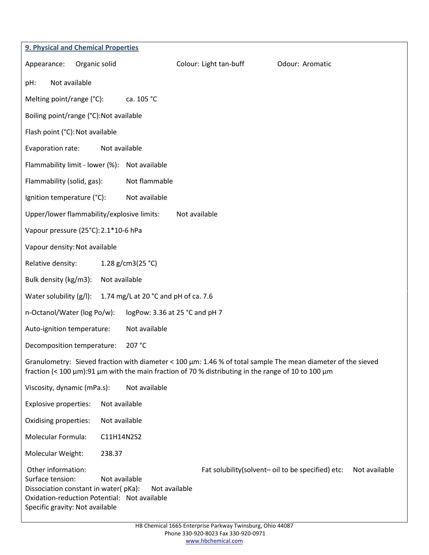| <b>9. Physical and Chemical Properties</b>                                                                                                                                                                                                                               |                                      |                                |                 |  |  |
|--------------------------------------------------------------------------------------------------------------------------------------------------------------------------------------------------------------------------------------------------------------------------|--------------------------------------|--------------------------------|-----------------|--|--|
| Organic solid<br>Appearance:                                                                                                                                                                                                                                             |                                      | Colour: Light tan-buff         | Odour: Aromatic |  |  |
| Not available<br>pH:                                                                                                                                                                                                                                                     |                                      |                                |                 |  |  |
| Melting point/range (°C):                                                                                                                                                                                                                                                | ca. 105 °C                           |                                |                 |  |  |
| Boiling point/range (°C):Not available                                                                                                                                                                                                                                   |                                      |                                |                 |  |  |
| Flash point (°C): Not available                                                                                                                                                                                                                                          |                                      |                                |                 |  |  |
| Evaporation rate:                                                                                                                                                                                                                                                        | Not available                        |                                |                 |  |  |
| Flammability limit - lower (%):                                                                                                                                                                                                                                          | Not available                        |                                |                 |  |  |
| Flammability (solid, gas):                                                                                                                                                                                                                                               | Not flammable                        |                                |                 |  |  |
| Ignition temperature (°C):                                                                                                                                                                                                                                               | Not available                        |                                |                 |  |  |
| Upper/lower flammability/explosive limits:<br>Not available                                                                                                                                                                                                              |                                      |                                |                 |  |  |
| Vapour pressure (25°C): 2.1*10-6 hPa                                                                                                                                                                                                                                     |                                      |                                |                 |  |  |
| Vapour density: Not available                                                                                                                                                                                                                                            |                                      |                                |                 |  |  |
| Relative density:                                                                                                                                                                                                                                                        | 1.28 g/cm3(25 $°C$ )                 |                                |                 |  |  |
| Bulk density (kg/m3):                                                                                                                                                                                                                                                    | Not available                        |                                |                 |  |  |
| Water solubility (g/l):                                                                                                                                                                                                                                                  | 1.74 mg/L at 20 °C and pH of ca. 7.6 |                                |                 |  |  |
| n-Octanol/Water (log Po/w):                                                                                                                                                                                                                                              |                                      | logPow: 3.36 at 25 °C and pH 7 |                 |  |  |
| Auto-ignition temperature:                                                                                                                                                                                                                                               | Not available                        |                                |                 |  |  |
| Decomposition temperature:                                                                                                                                                                                                                                               | 207 °C                               |                                |                 |  |  |
| Granulometry: Sieved fraction with diameter < 100 µm: 1.46 % of total sample The mean diameter of the sieved<br>fraction (< 100 $\mu$ m):91 $\mu$ m with the main fraction of 70 % distributing in the range of 10 to 100 $\mu$ m                                        |                                      |                                |                 |  |  |
| Viscosity, dynamic (mPa.s):                                                                                                                                                                                                                                              | Not available                        |                                |                 |  |  |
| <b>Explosive properties:</b>                                                                                                                                                                                                                                             | Not available                        |                                |                 |  |  |
| <b>Oxidising properties:</b>                                                                                                                                                                                                                                             | Not available                        |                                |                 |  |  |
| Molecular Formula:                                                                                                                                                                                                                                                       | C11H14N2S2                           |                                |                 |  |  |
| Molecular Weight:                                                                                                                                                                                                                                                        | 238.37                               |                                |                 |  |  |
| Other information:<br>Fat solubility(solvent-oil to be specified) etc:<br>Not available<br>Surface tension:<br>Not available<br>Dissociation constant in water(pKa):<br>Not available<br>Oxidation-reduction Potential: Not available<br>Specific gravity: Not available |                                      |                                |                 |  |  |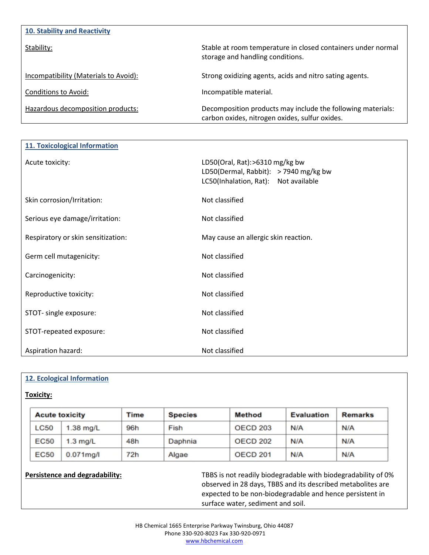| 10. Stability and Reactivity          |                                                                                                               |
|---------------------------------------|---------------------------------------------------------------------------------------------------------------|
| Stability:                            | Stable at room temperature in closed containers under normal<br>storage and handling conditions.              |
| Incompatibility (Materials to Avoid): | Strong oxidizing agents, acids and nitro sating agents.                                                       |
| Conditions to Avoid:                  | Incompatible material.                                                                                        |
| Hazardous decomposition products:     | Decomposition products may include the following materials:<br>carbon oxides, nitrogen oxides, sulfur oxides. |

| <b>11. Toxicological Information</b> |                                                                                                                   |
|--------------------------------------|-------------------------------------------------------------------------------------------------------------------|
| Acute toxicity:                      | LD50(Oral, Rat):>6310 mg/kg bw<br>LD50(Dermal, Rabbit): $>$ 7940 mg/kg bw<br>LC50(Inhalation, Rat): Not available |
| Skin corrosion/Irritation:           | Not classified                                                                                                    |
| Serious eye damage/irritation:       | Not classified                                                                                                    |
| Respiratory or skin sensitization:   | May cause an allergic skin reaction.                                                                              |
| Germ cell mutagenicity:              | Not classified                                                                                                    |
| Carcinogenicity:                     | Not classified                                                                                                    |
| Reproductive toxicity:               | Not classified                                                                                                    |
| STOT- single exposure:               | Not classified                                                                                                    |
| STOT-repeated exposure:              | Not classified                                                                                                    |
| Aspiration hazard:                   | Not classified                                                                                                    |

# **12. Ecological Information**

**Toxicity:**

| <b>Acute toxicity</b> |                    | Time | <b>Species</b> | Method          | <b>Evaluation</b> | <b>Remarks</b> |
|-----------------------|--------------------|------|----------------|-----------------|-------------------|----------------|
| LC50                  | $1.38$ mg/L        | 96h  | Fish           | OECD 203        | N/A               | N/A            |
| EC50                  | $1.3 \text{ mg/L}$ | 48h  | Daphnia        | <b>OECD 202</b> | N/A               | N/A            |
| EC50                  | $0.071$ mg/l       | 72h  | Algae          | <b>OECD 201</b> | N/A               | N/A            |

**Persistence and degradability:** TBBS is not readily biodegradable with biodegradability of 0% observed in 28 days, TBBS and its described metabolites are expected to be non-biodegradable and hence persistent in surface water, sediment and soil.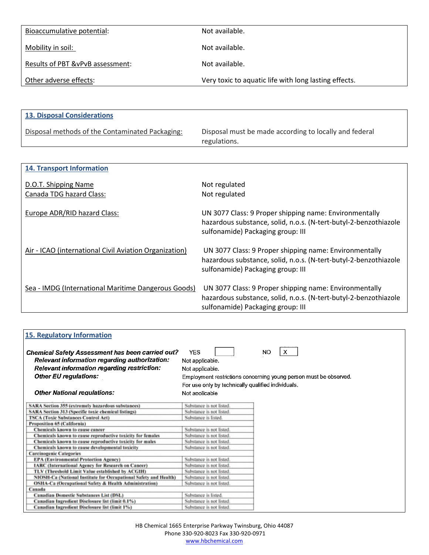| Bioaccumulative potential:       | Not available.                                        |
|----------------------------------|-------------------------------------------------------|
| Mobility in soil:                | Not available.                                        |
| Results of PBT &vPvB assessment: | Not available.                                        |
| Other adverse effects:           | Very toxic to aquatic life with long lasting effects. |

| <b>13. Disposal Considerations</b>              |                                                                        |
|-------------------------------------------------|------------------------------------------------------------------------|
| Disposal methods of the Contaminated Packaging: | Disposal must be made according to locally and federal<br>regulations. |

| <b>14. Transport Information</b>                       |                                                                                                                                                                 |
|--------------------------------------------------------|-----------------------------------------------------------------------------------------------------------------------------------------------------------------|
| D.O.T. Shipping Name                                   | Not regulated                                                                                                                                                   |
| Canada TDG hazard Class:                               | Not regulated                                                                                                                                                   |
| Europe ADR/RID hazard Class:                           | UN 3077 Class: 9 Proper shipping name: Environmentally<br>hazardous substance, solid, n.o.s. (N-tert-butyl-2-benzothiazole<br>sulfonamide) Packaging group: III |
| Air - ICAO (international Civil Aviation Organization) | UN 3077 Class: 9 Proper shipping name: Environmentally<br>hazardous substance, solid, n.o.s. (N-tert-butyl-2-benzothiazole<br>sulfonamide) Packaging group: III |
| Sea - IMDG (International Maritime Dangerous Goods)    | UN 3077 Class: 9 Proper shipping name: Environmentally<br>hazardous substance, solid, n.o.s. (N-tert-butyl-2-benzothiazole<br>sulfonamide) Packaging group: III |

| <b>15. Regulatory Information</b>                                                                                                                                                       |                                                                                                                                                                                                    |
|-----------------------------------------------------------------------------------------------------------------------------------------------------------------------------------------|----------------------------------------------------------------------------------------------------------------------------------------------------------------------------------------------------|
| Chemical Safety Assessment has been carried out?<br>Relevant information regarding authorization:<br><b>Relevant information regarding restriction:</b><br><b>Other EU regulations:</b> | <b>YES</b><br>NO.<br>$\mathsf{X}$<br>Not applicable.<br>Not applicable.<br>Employment restrictions concerning young person must be observed.<br>For use only by technically qualified individuals. |
| <b>Other National requiations:</b>                                                                                                                                                      | Not applicable                                                                                                                                                                                     |
| SARA Section 355 (extremely hazardous substances)                                                                                                                                       | Substance is not listed.                                                                                                                                                                           |
| SARA Section 313 (Specific toxic chemical listings)                                                                                                                                     | Substance is not listed.                                                                                                                                                                           |
| <b>TSCA (Toxic Substances Control Act)</b>                                                                                                                                              | Substance is listed.                                                                                                                                                                               |
| Proposition 65 (California)                                                                                                                                                             |                                                                                                                                                                                                    |
| Chemicals known to cause cancer                                                                                                                                                         | Substance is not listed.                                                                                                                                                                           |
| Chemicals known to cause reproductive toxicity for females                                                                                                                              | Substance is not listed.                                                                                                                                                                           |
| Chemicals known to cause reproductive toxicity for males                                                                                                                                | Substance is not listed.                                                                                                                                                                           |
| Chemicals known to cause developmental toxicity                                                                                                                                         | Substance is not listed.                                                                                                                                                                           |
| <b>Carcinogenic Categories</b>                                                                                                                                                          |                                                                                                                                                                                                    |
| <b>EPA (Environmental Protection Agency)</b>                                                                                                                                            | Substance is not listed.                                                                                                                                                                           |
| <b>IARC</b> (International Agency for Research on Cancer)                                                                                                                               | Substance is not listed.                                                                                                                                                                           |
| TLV (Threshold Limit Value established by ACGIH)                                                                                                                                        | Substance is not listed.                                                                                                                                                                           |
| NIOSH-Ca (National Institute for Occupational Safety and Health)                                                                                                                        | Substance is not listed.                                                                                                                                                                           |
| <b>OSHA-Ca (Occupational Safety &amp; Health Administration)</b>                                                                                                                        | Substance is not listed.                                                                                                                                                                           |
| Canada                                                                                                                                                                                  |                                                                                                                                                                                                    |
| <b>Canadian Domestic Substances List (DSL)</b>                                                                                                                                          | Substance is listed.                                                                                                                                                                               |
| Canadian Ingredient Disclosure list (limit 0.1%)                                                                                                                                        | Substance is not listed.                                                                                                                                                                           |
| Canadian Ingredient Disclosure list (limit 1%)                                                                                                                                          | Substance is not listed.                                                                                                                                                                           |

HB Chemical 1665 Enterprise Parkway Twinsburg, Ohio 44087 Phone 330-920-8023 Fax 330-920-0971 www.hbchemical.com